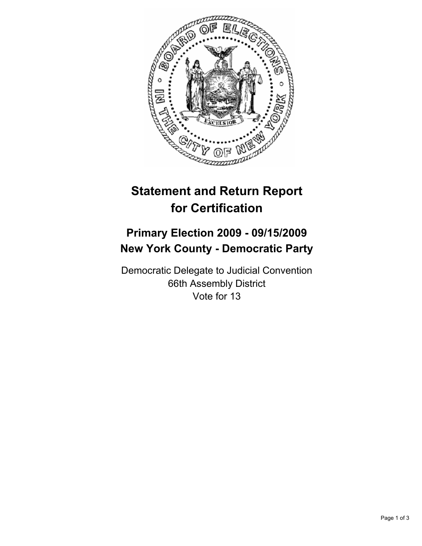

## **Statement and Return Report for Certification**

## **Primary Election 2009 - 09/15/2009 New York County - Democratic Party**

Democratic Delegate to Judicial Convention 66th Assembly District Vote for 13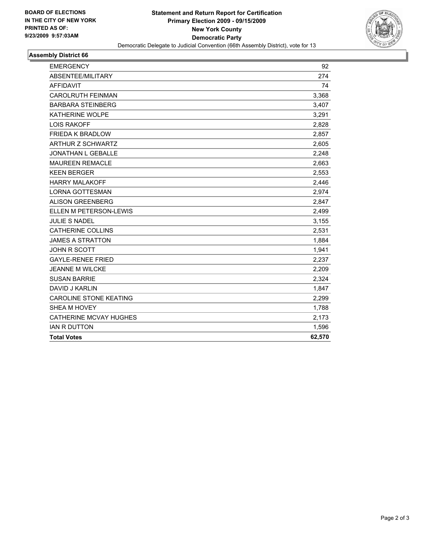

## **Assembly District 66**

| <b>EMERGENCY</b>              | 92     |
|-------------------------------|--------|
| ABSENTEE/MILITARY             | 274    |
| <b>AFFIDAVIT</b>              | 74     |
| <b>CAROLRUTH FEINMAN</b>      | 3,368  |
| <b>BARBARA STEINBERG</b>      | 3,407  |
| <b>KATHERINE WOLPE</b>        | 3,291  |
| <b>LOIS RAKOFF</b>            | 2,828  |
| <b>FRIEDA K BRADLOW</b>       | 2,857  |
| <b>ARTHUR Z SCHWARTZ</b>      | 2,605  |
| JONATHAN L GEBALLE            | 2.248  |
| <b>MAUREEN REMACLE</b>        | 2,663  |
| <b>KEEN BERGER</b>            | 2,553  |
| <b>HARRY MALAKOFF</b>         | 2,446  |
| <b>LORNA GOTTESMAN</b>        | 2,974  |
| <b>ALISON GREENBERG</b>       | 2,847  |
| ELLEN M PETERSON-LEWIS        | 2,499  |
| <b>JULIE S NADEL</b>          | 3,155  |
| <b>CATHERINE COLLINS</b>      | 2,531  |
| <b>JAMES A STRATTON</b>       | 1,884  |
| <b>JOHN R SCOTT</b>           | 1,941  |
| <b>GAYLE-RENEE FRIED</b>      | 2,237  |
| <b>JEANNE M WILCKE</b>        | 2,209  |
| <b>SUSAN BARRIE</b>           | 2,324  |
| DAVID J KARLIN                | 1,847  |
| <b>CAROLINE STONE KEATING</b> | 2,299  |
| SHEA M HOVEY                  | 1,788  |
| <b>CATHERINE MCVAY HUGHES</b> | 2,173  |
| <b>IAN R DUTTON</b>           | 1,596  |
| <b>Total Votes</b>            | 62,570 |